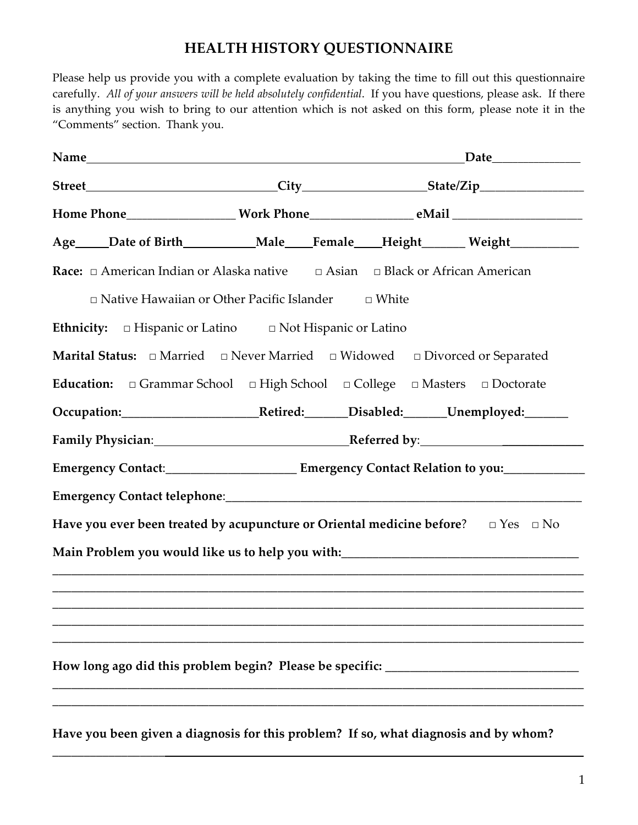### **HEALTH HISTORY QUESTIONNAIRE**

Please help us provide you with a complete evaluation by taking the time to fill out this questionnaire carefully.ȱȱ*All of your answers will be held absolutely confidential*.ȱȱIf you have questions, please ask.ȱȱIf there is anything you wish to bring to our attention which is not asked on this form, please note it in the "Comments" section. Thank you.

| Age____Date of Birth__________Male___Female___Height______Weight__________                                     |  |  |  |  |  |
|----------------------------------------------------------------------------------------------------------------|--|--|--|--|--|
| <b>Race:</b> $\Box$ American Indian or Alaska native $\Box$ Asian $\Box$ Black or African American             |  |  |  |  |  |
| $\Box$ Native Hawaiian or Other Pacific Islander $\Box$ White                                                  |  |  |  |  |  |
| Ethnicity: $\Box$ Hispanic or Latino $\Box$ Not Hispanic or Latino                                             |  |  |  |  |  |
| <b>Marital Status:</b> $\Box$ Married $\Box$ Never Married $\Box$ Widowed $\Box$ Divorced or Separated         |  |  |  |  |  |
| Education:  □ Grammar School  □ High School  □ College  □ Masters  □ Doctorate                                 |  |  |  |  |  |
| Occupation: Retired: Disabled: Unemployed: Comparent Disabled:                                                 |  |  |  |  |  |
| Family Physician: Manual Manual Referred by: Manual Manual Manual Manual Manual Manual Manual Manual Manual Ma |  |  |  |  |  |
| Emergency Contact:____________________________Emergency Contact Relation to you:___________________            |  |  |  |  |  |
|                                                                                                                |  |  |  |  |  |
| Have you ever been treated by acupuncture or Oriental medicine before? $\square$ Yes $\square$ No              |  |  |  |  |  |
| Main Problem you would like us to help you with:_________________________________                              |  |  |  |  |  |
|                                                                                                                |  |  |  |  |  |
|                                                                                                                |  |  |  |  |  |
|                                                                                                                |  |  |  |  |  |
| How long ago did this problem begin? Please be specific:                                                       |  |  |  |  |  |
|                                                                                                                |  |  |  |  |  |
| Have you been given a diagnosis for this problem? If so, what diagnosis and by whom?                           |  |  |  |  |  |

**\_\_\_\_\_\_\_\_\_\_\_\_\_\_\_\_\_\_\_\_\_\_\_\_\_\_\_\_\_\_\_\_\_\_\_\_\_\_\_\_\_\_\_\_\_\_\_\_\_\_\_\_\_\_\_\_\_\_\_\_\_\_\_\_\_\_\_\_\_\_\_\_\_\_\_\_\_\_\_\_\_\_\_\_\_**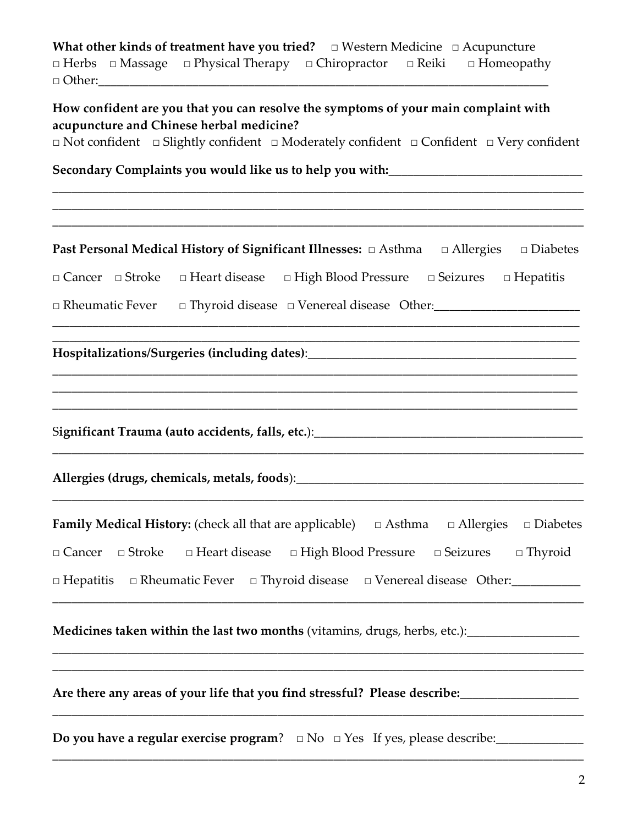**What other kinds of treatment have you tried? □ Western Medicine □ Acupuncture <b>** Herbs □ Massage □ Physical Therapy □ Chiropractor □ Reiki □ Homeopathy **Ƞȱ**Other:\_\_\_\_\_\_\_\_\_\_\_\_\_\_\_\_\_\_\_\_\_\_\_\_\_\_\_\_\_\_\_\_\_\_\_\_\_\_\_\_\_\_\_\_\_\_\_\_\_\_\_\_\_\_\_\_\_\_\_\_\_\_\_\_\_\_\_\_\_\_\_\_ȱȱȱȱ

**How confident are you that you can resolve the symptoms of your main complaint with acupuncture and Chinese herbal medicine?** 

**Ƞȱ**Not confidentȱȱȱȱ**Ƞȱ**Slightly confidentȱȱȱ**Ƞ** Moderately confidentȱȱȱ**Ƞ** Confidentȱȱȱ**Ƞȱ**Very confident

**\_\_\_\_\_\_\_\_\_\_\_\_\_\_\_\_\_\_\_\_\_\_\_\_\_\_\_\_\_\_\_\_\_\_\_\_\_\_\_\_\_\_\_\_\_\_\_\_\_\_\_\_\_\_\_\_\_\_\_\_\_\_\_\_\_\_\_\_\_\_\_\_\_\_\_\_\_\_\_\_\_\_\_\_\_ \_\_\_\_\_\_\_\_\_\_\_\_\_\_\_\_\_\_\_\_\_\_\_\_\_\_\_\_\_\_\_\_\_\_\_\_\_\_\_\_\_\_\_\_\_\_\_\_\_\_\_\_\_\_\_\_\_\_\_\_\_\_\_\_\_\_\_\_\_\_\_\_\_\_\_\_\_\_\_\_\_\_\_\_\_**

**Secondary Complaints you would like us to help you with:\_\_\_\_\_\_\_\_\_\_\_\_\_\_\_\_\_\_\_\_\_\_\_\_\_\_\_\_\_\_\_**

| Past Personal Medical History of Significant Illnesses: $\Box$ Asthma $\Box$ Allergies $\Box$ Diabetes          |
|-----------------------------------------------------------------------------------------------------------------|
| $\Box$ Cancer $\Box$ Stroke<br>$\Box$ Heart disease $\Box$ High Blood Pressure $\Box$ Seizures $\Box$ Hepatitis |
| □ Rheumatic Fever □ Thyroid disease □ Venereal disease Other: □                                                 |
| Hospitalizations/Surgeries (including dates):___________________________________                                |
|                                                                                                                 |
|                                                                                                                 |
| <b>Family Medical History:</b> (check all that are applicable) $\Box$ Asthma $\Box$ Allergies $\Box$ Diabetes   |
| $\Box$ Cancer $\Box$ Stroke $\Box$ Heart disease $\Box$ High Blood Pressure $\Box$ Seizures $\Box$ Thyroid      |
| $\Box$ Hepatitis $\Box$ Rheumatic Fever $\Box$ Thyroid disease $\Box$ Venereal disease Other:                   |
| Medicines taken within the last two months (vitamins, drugs, herbs, etc.): _____________                        |
| Are there any areas of your life that you find stressful? Please describe:                                      |

**Do you have a regular exercise program**?ȱȱȱȱȠȱNoȱȱȱȠȱYesȱȱȱIf yes, please describe:\_\_\_\_\_\_\_\_\_\_\_\_\_\_

\_\_\_\_\_\_\_\_\_\_\_\_\_\_\_\_\_\_\_\_\_\_\_\_\_\_\_\_\_\_\_\_\_\_\_\_\_\_\_\_\_\_\_\_\_\_\_\_\_\_\_\_\_\_\_\_\_\_\_\_\_\_\_\_\_\_\_\_\_\_\_\_\_\_\_\_\_\_\_\_\_\_\_\_\_

\_\_\_\_\_\_\_\_\_\_\_\_\_\_\_\_\_\_\_\_\_\_\_\_\_\_\_\_\_\_\_\_\_\_\_\_\_\_\_\_\_\_\_\_\_\_\_\_\_\_\_\_\_\_\_\_\_\_\_\_\_\_\_\_\_\_\_\_\_\_\_\_\_\_\_\_\_\_\_\_\_\_\_\_\_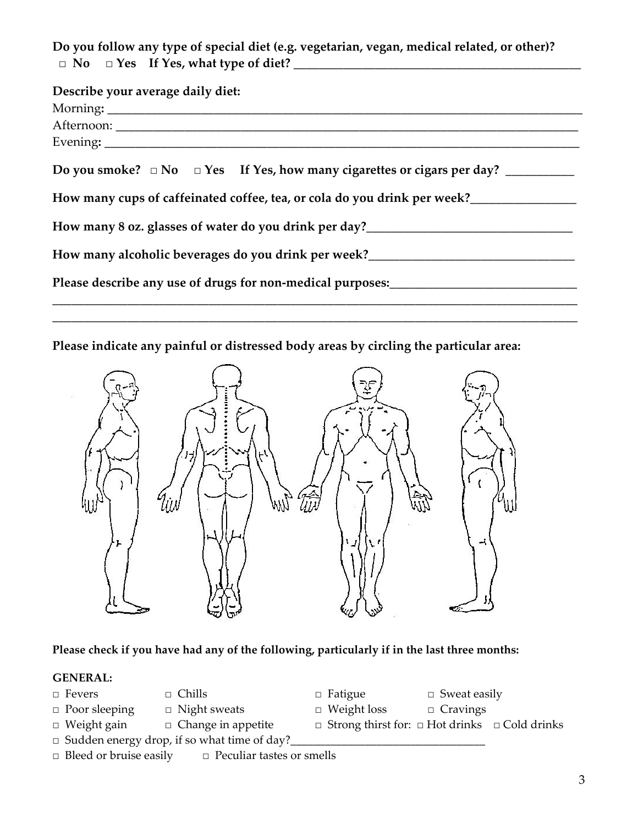**Do you follow any type of special diet (e.g. vegetarian, vegan, medical related, or other)? ȱȱȠȱȱNoȱȱȱȱȱȠȱYesȱȱȱȱIf Yes, what type of diet? \_\_\_\_\_\_\_\_\_\_\_\_\_\_\_\_\_\_\_\_\_\_\_\_\_\_\_\_\_\_\_\_\_\_\_\_\_\_\_\_\_\_\_\_\_\_ȱȱȱȱȱȱ**

| Describe your average daily diet:                                                              |
|------------------------------------------------------------------------------------------------|
|                                                                                                |
|                                                                                                |
|                                                                                                |
| Do you smoke? $\Box$ No $\Box$ Yes If Yes, how many cigarettes or cigars per day? ____________ |
| How many cups of caffeinated coffee, tea, or cola do you drink per week?                       |
|                                                                                                |
| How many alcoholic beverages do you drink per week?_____________________________               |
| Please describe any use of drugs for non-medical purposes:_____________________________        |
|                                                                                                |

**\_\_\_\_\_\_\_\_\_\_\_\_\_\_\_\_\_\_\_\_\_\_\_\_\_\_\_\_\_\_\_\_\_\_\_\_\_\_\_\_\_\_\_\_\_\_\_\_\_\_\_\_\_\_\_\_\_\_\_\_\_\_\_\_\_\_\_\_\_\_\_\_\_\_\_\_\_\_\_\_\_\_\_\_**

**Please indicate any painful or distressed body areas by circling the particular area:**ȱȱ ȱ



#### **Please check if you have had any of the following, particularly if in the last three months:**

#### **GENERAL:**

- 
- **□** Poor sleeping □ Night sweats □ Weight loss □ Cravings
	-
- □ Sudden energy drop, if so what time of day?
- **□** Bleed or bruise easily □ Peculiar tastes or smells
- **□** Fevers □ Chills □ Fatigue Sweat easily
	-
- **□** Weight gain □ Change in appetite □ Strong thirst for: □ Hot drinks □ Cold drinks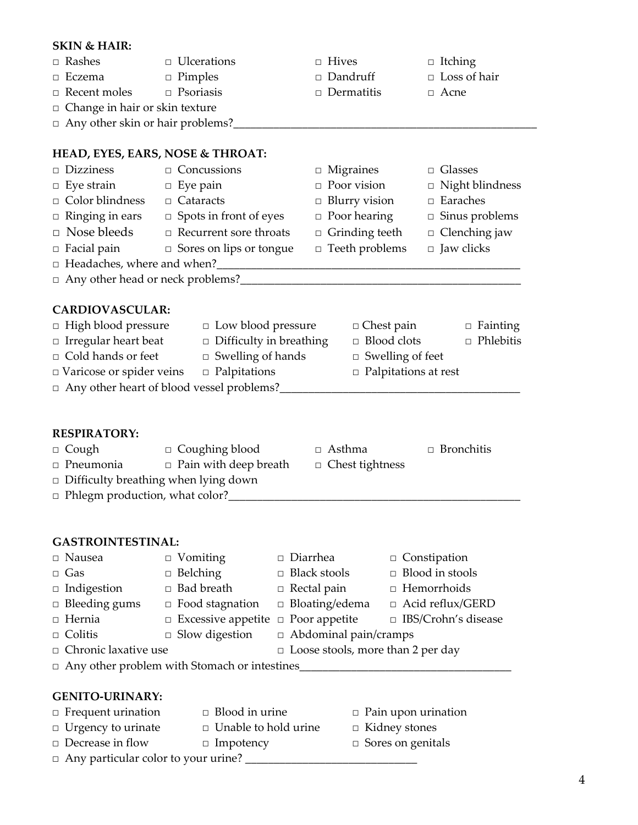## **SKIN & HAIR: Ƞȱȱ**Rashesȱ ȱ **Ƞ**ȱȱUlcerationsȱȱ ȱ **Ƞȱȱ**Hivesȱ ȱ **Ƞ**ȱȱItching **Ƞ**ȱȱEczemaȱ ȱ **Ƞ**ȱȱPimplesȱȱ ȱ **Ƞ**ȱȱDandruffȱ ȱ **Ƞȱ** Loss of hair **Ƞ**ȱȱRecent moles **Ƞȱȱ**Psoriasisȱȱ ȱ **Ƞȱȱ**Dermatitisȱ ȱ **Ƞȱȱ**Acne □ Change in hair or skin texture **□** Any other skin or hair problems? **HEAD, EYES, EARS, NOSE & THROAT: Ƞ**ȱȱDizzinessȱ ȱ **Ƞ**ȱȱConcussionsȱ ȱ **Ƞ**ȱȱMigrainesȱ ȱ **Ƞ**ȱȱGlasses **Ƞȱȱ**Eye strainȱ ȱ **Ƞ**ȱȱEye painȱȱ ȱ **Ƞ**ȱȱPoor visionȱ ȱ **Ƞȱȱ**Night blindness **Ƞ**ȱȱColor blindness **Ƞȱȱ**Cataractsȱȱ ȱ **Ƞ**ȱȱBlurry vision **Ƞȱȱ**Earaches **Ƞ**ȱȱRinging in ears **Ƞ**ȱȱSpots in front of eyes **Ƞȱȱ**Poor hearing **Ƞȱȱ**Sinus problems ȠȱȱNose bleeds **Ƞ**ȱȱRecurrent sore throats **Ƞȱȱ**Grinding teeth **Ƞȱȱ**Clenching jaw **Ƞ**ȱȱFacial painȱ ȱ **Ƞ**ȱȱSores on lips or tongue **Ƞ**ȱȱTeeth problems **Ƞȱȱ**Jaw clicks □ Headaches, where and when? **Ƞȱȱ**Any other head or neck problems?\_\_\_\_\_\_\_\_\_\_\_\_\_\_\_\_\_\_\_\_\_\_\_\_\_\_\_\_\_\_\_\_\_\_\_\_\_\_\_\_\_\_\_\_\_\_\_\_\_ **CARDIOVASCULAR: Ƞȱ** High blood pressure **Ƞ**ȱȱLow blood pressure **Ƞȱ**Chest painȱ ȱ **Ƞ**ȱȱFainting **□** Irregular heart beat □ Difficulty in breathing □ Blood clots □ Phlebitis **□** Cold hands or feet □ Swelling of hands □ Swelling of feet **□** Varicose or spider veins □ Palpitations □ □ Palpitations at rest **Ƞ**ȱȱAny other heart of blood vessel problems?\_\_\_\_\_\_\_\_\_\_\_\_\_\_\_\_\_\_\_\_\_\_\_\_\_\_\_\_\_\_\_\_\_\_\_\_\_\_\_\_\_\_ **RESPIRATORY: □** Coughing blood □ Asthma □ Bronchitis **□** Pneumonia □ Pain with deep breath □ Chest tightness  $\Box$  Difficulty breathing when lying down □ Phlegm production, what color? **GASTROINTESTINAL:** ȠȱȱNauseaȱ ȱ ȠȱȱVomitingȱ ȱ ȠȱȱDiarrheaȱ ȱ ȠȱȱConstipation **□** Gas □ Belching □ Black stools □ Blood in stools **□** Indigestion □ Bad breath □ Rectal pain □ Hemorrhoids □ Bleeding gums □ Food stagnation □ Bloating/edema □ Acid reflux/GERD ȠȱȱHerniaȱ ȱ ȠȱȱExcessive appetiteȱ ȠȱȱPoor appetiteȱ ȠȱȱIBS/Crohn's disease **□** Colitis □ Slow digestion □ Abdominal pain/cramps □ Chronic laxative use □ Loose stools, more than 2 per day □ Any other problem with Stomach or intestines **GENITOȬURINARY:** ȠȱȱFrequent urinationȱȱ ȠȱȱBlood in urineȱ ȱ ȠȱȱPain upon urination **□** Urgency to urinate □ Unable to hold urine □ Kidney stones

- **□** Decrease in flow □ Impotency □ Sores on genitals
- ȠȱȱAny particular color to your urine? \_\_\_\_\_\_\_\_\_\_\_\_\_\_\_\_\_\_\_\_\_\_\_\_\_\_\_\_\_\_
- -

4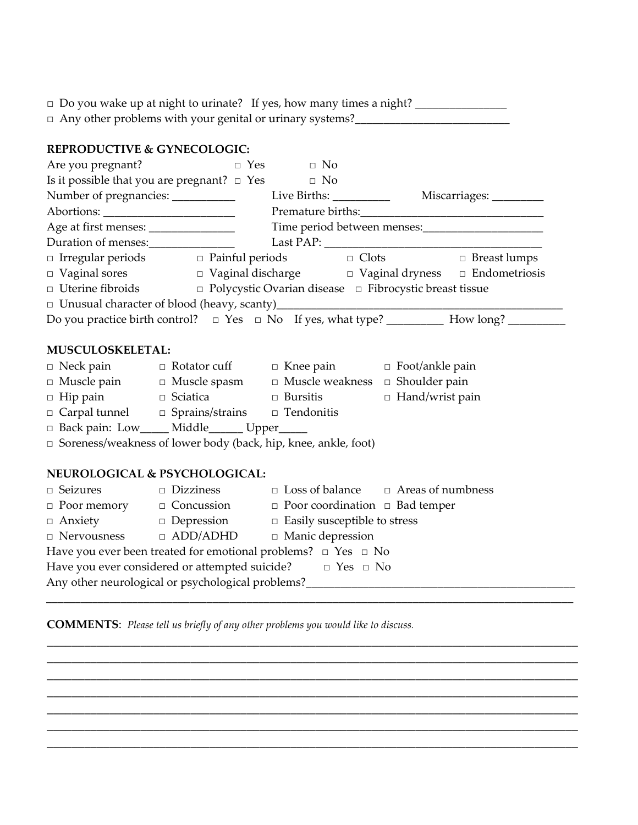|                                        | □ Any other problems with your genital or urinary systems?<br>□ 2010 2020 2020 2020 2020 2020 2021 2021 2021 2021 2021 2021 2021 2021 2021 2021 2021 2022 2021 2021 2021 20 |                                                            |                                                                                                                                                                                                                                                                                                                                                                                                                                                                                                                                                                  |                                                                                                |  |
|----------------------------------------|-----------------------------------------------------------------------------------------------------------------------------------------------------------------------------|------------------------------------------------------------|------------------------------------------------------------------------------------------------------------------------------------------------------------------------------------------------------------------------------------------------------------------------------------------------------------------------------------------------------------------------------------------------------------------------------------------------------------------------------------------------------------------------------------------------------------------|------------------------------------------------------------------------------------------------|--|
| <b>REPRODUCTIVE &amp; GYNECOLOGIC:</b> |                                                                                                                                                                             |                                                            |                                                                                                                                                                                                                                                                                                                                                                                                                                                                                                                                                                  |                                                                                                |  |
| Are you pregnant?                      | $\Box$ Yes $\Box$ No                                                                                                                                                        |                                                            |                                                                                                                                                                                                                                                                                                                                                                                                                                                                                                                                                                  |                                                                                                |  |
|                                        | Is it possible that you are pregnant? $\Box$ Yes                                                                                                                            | $\Box$ No                                                  |                                                                                                                                                                                                                                                                                                                                                                                                                                                                                                                                                                  |                                                                                                |  |
|                                        |                                                                                                                                                                             |                                                            |                                                                                                                                                                                                                                                                                                                                                                                                                                                                                                                                                                  |                                                                                                |  |
|                                        |                                                                                                                                                                             |                                                            |                                                                                                                                                                                                                                                                                                                                                                                                                                                                                                                                                                  |                                                                                                |  |
|                                        | Age at first menses: ________________                                                                                                                                       |                                                            |                                                                                                                                                                                                                                                                                                                                                                                                                                                                                                                                                                  |                                                                                                |  |
|                                        | Duration of menses:                                                                                                                                                         |                                                            | $\text{Last PAP:}\n \underline{\hspace{2cm}}\n \underline{\hspace{2cm}}\n \underline{\hspace{2cm}}\n \underline{\hspace{2cm}}\n \underline{\hspace{2cm}}\n \underline{\hspace{2cm}}\n \underline{\hspace{2cm}}\n \underline{\hspace{2cm}}\n \underline{\hspace{2cm}}\n \underline{\hspace{2cm}}\n \underline{\hspace{2cm}}\n \underline{\hspace{2cm}}\n \underline{\hspace{2cm}}\n \underline{\hspace{2cm}}\n \underline{\hspace{2cm}}\n \underline{\hspace{2cm}}\n \underline{\hspace{2cm}}\n \underline{\hspace{2cm}}\n \underline{\hspace{2cm}}\n \underline$ |                                                                                                |  |
|                                        | $\Box\ \ \text{Irregular periods}\qquad \qquad \Box\ \ \text{Paintul periods}\qquad \qquad \Box\ \ \text{Clots}\qquad \qquad \Box\ \ \text{Breat lumps}$                    |                                                            |                                                                                                                                                                                                                                                                                                                                                                                                                                                                                                                                                                  |                                                                                                |  |
|                                        | □ Vaginal sores  □ Vaginal discharge  □ Vaginal dryness □ Endometriosis                                                                                                     |                                                            |                                                                                                                                                                                                                                                                                                                                                                                                                                                                                                                                                                  |                                                                                                |  |
|                                        | $\Box$ Uterine fibroids $\Box$ Polycystic Ovarian disease $\Box$ Fibrocystic breast tissue                                                                                  |                                                            |                                                                                                                                                                                                                                                                                                                                                                                                                                                                                                                                                                  |                                                                                                |  |
|                                        |                                                                                                                                                                             |                                                            |                                                                                                                                                                                                                                                                                                                                                                                                                                                                                                                                                                  |                                                                                                |  |
|                                        |                                                                                                                                                                             |                                                            |                                                                                                                                                                                                                                                                                                                                                                                                                                                                                                                                                                  | Do you practice birth control?  □ Yes  □ No  If yes, what type?  _________ How long? _________ |  |
|                                        |                                                                                                                                                                             |                                                            |                                                                                                                                                                                                                                                                                                                                                                                                                                                                                                                                                                  |                                                                                                |  |
| <b>MUSCULOSKELETAL:</b>                |                                                                                                                                                                             |                                                            |                                                                                                                                                                                                                                                                                                                                                                                                                                                                                                                                                                  |                                                                                                |  |
|                                        | □ Neck pain     □ Rotator cuff    □ Knee pain     □ Foot/ankle pain                                                                                                         |                                                            |                                                                                                                                                                                                                                                                                                                                                                                                                                                                                                                                                                  |                                                                                                |  |
|                                        | $\Box$ Muscle pain $\Box$ Muscle spasm $\Box$ Muscle weakness $\Box$ Shoulder pain                                                                                          |                                                            |                                                                                                                                                                                                                                                                                                                                                                                                                                                                                                                                                                  |                                                                                                |  |
|                                        | □ Hip pain     □ Sciatica      □ Bursitis                                                                                                                                   |                                                            | $\Box$ Hand/wrist pain                                                                                                                                                                                                                                                                                                                                                                                                                                                                                                                                           |                                                                                                |  |
|                                        | □ Carpal tunnel □ Sprains/strains □ Tendonitis                                                                                                                              |                                                            |                                                                                                                                                                                                                                                                                                                                                                                                                                                                                                                                                                  |                                                                                                |  |
|                                        | □ Back pain: Low_____ Middle______ Upper_____                                                                                                                               |                                                            |                                                                                                                                                                                                                                                                                                                                                                                                                                                                                                                                                                  |                                                                                                |  |
|                                        | $\Box$ Soreness/weakness of lower body (back, hip, knee, ankle, foot)                                                                                                       |                                                            |                                                                                                                                                                                                                                                                                                                                                                                                                                                                                                                                                                  |                                                                                                |  |
|                                        | NEUROLOGICAL & PSYCHOLOGICAL:                                                                                                                                               |                                                            |                                                                                                                                                                                                                                                                                                                                                                                                                                                                                                                                                                  |                                                                                                |  |
|                                        | $\Box$ Seizures $\Box$ Dizziness $\Box$ Loss of balance $\Box$ Areas of numbness                                                                                            |                                                            |                                                                                                                                                                                                                                                                                                                                                                                                                                                                                                                                                                  |                                                                                                |  |
|                                        | $\Box$ Poor memory $\Box$ Concussion $\Box$ Poor coordination $\Box$ Bad temper                                                                                             |                                                            |                                                                                                                                                                                                                                                                                                                                                                                                                                                                                                                                                                  |                                                                                                |  |
|                                        | $\Box$ Anxiety $\Box$ Depression $\Box$ Easily susceptible to stress                                                                                                        |                                                            |                                                                                                                                                                                                                                                                                                                                                                                                                                                                                                                                                                  |                                                                                                |  |
|                                        |                                                                                                                                                                             | $\Box$ Nervousness $\Box$ ADD/ADHD $\Box$ Manic depression |                                                                                                                                                                                                                                                                                                                                                                                                                                                                                                                                                                  |                                                                                                |  |
|                                        | Have you ever been treated for emotional problems? $\Box$ Yes $\Box$ No                                                                                                     |                                                            |                                                                                                                                                                                                                                                                                                                                                                                                                                                                                                                                                                  |                                                                                                |  |
|                                        | Have you ever considered or attempted suicide?<br>$\square$ Yes $\square$ No                                                                                                |                                                            |                                                                                                                                                                                                                                                                                                                                                                                                                                                                                                                                                                  |                                                                                                |  |

Any other neurological or psychological problems?\_\_\_\_\_\_\_\_\_\_\_\_\_\_\_\_\_\_\_\_\_\_\_\_\_\_\_\_\_\_\_\_\_\_\_\_\_\_\_\_\_\_\_\_\_\_\_

\_\_\_\_\_\_\_\_\_\_\_\_\_\_\_\_\_\_\_\_\_\_\_\_\_\_\_\_\_\_\_\_\_\_\_\_\_\_\_\_\_\_\_\_\_\_\_\_\_\_\_\_\_\_\_\_\_\_\_\_\_\_\_\_\_\_\_\_\_\_\_\_\_\_\_\_\_\_\_\_\_\_\_\_\_ \_\_\_\_\_\_\_\_\_\_\_\_\_\_\_\_\_\_\_\_\_\_\_\_\_\_\_\_\_\_\_\_\_\_\_\_\_\_\_\_\_\_\_\_\_\_\_\_\_\_\_\_\_\_\_\_\_\_\_\_\_\_\_\_\_\_\_\_\_\_\_\_\_\_\_\_\_\_\_\_\_\_\_\_\_ \_\_\_\_\_\_\_\_\_\_\_\_\_\_\_\_\_\_\_\_\_\_\_\_\_\_\_\_\_\_\_\_\_\_\_\_\_\_\_\_\_\_\_\_\_\_\_\_\_\_\_\_\_\_\_\_\_\_\_\_\_\_\_\_\_\_\_\_\_\_\_\_\_\_\_\_\_\_\_\_\_\_\_\_\_ \_\_\_\_\_\_\_\_\_\_\_\_\_\_\_\_\_\_\_\_\_\_\_\_\_\_\_\_\_\_\_\_\_\_\_\_\_\_\_\_\_\_\_\_\_\_\_\_\_\_\_\_\_\_\_\_\_\_\_\_\_\_\_\_\_\_\_\_\_\_\_\_\_\_\_\_\_\_\_\_\_\_\_\_\_ \_\_\_\_\_\_\_\_\_\_\_\_\_\_\_\_\_\_\_\_\_\_\_\_\_\_\_\_\_\_\_\_\_\_\_\_\_\_\_\_\_\_\_\_\_\_\_\_\_\_\_\_\_\_\_\_\_\_\_\_\_\_\_\_\_\_\_\_\_\_\_\_\_\_\_\_\_\_\_\_\_\_\_\_\_ \_\_\_\_\_\_\_\_\_\_\_\_\_\_\_\_\_\_\_\_\_\_\_\_\_\_\_\_\_\_\_\_\_\_\_\_\_\_\_\_\_\_\_\_\_\_\_\_\_\_\_\_\_\_\_\_\_\_\_\_\_\_\_\_\_\_\_\_\_\_\_\_\_\_\_\_\_\_\_\_\_\_\_\_\_

\_\_\_\_\_\_\_\_\_\_\_\_\_\_\_\_\_\_\_\_\_\_\_\_\_\_\_\_\_\_\_\_\_\_\_\_\_\_\_\_\_\_\_\_\_\_\_\_\_\_\_\_\_\_\_\_\_\_\_\_\_\_\_\_\_\_\_\_\_\_\_\_\_\_\_\_\_\_\_\_\_\_\_\_\_

**COMMENTS**:ȱȱ*Please tell us briefly of any other problems you would like to discuss.*

\_\_\_\_\_\_\_\_\_\_\_\_\_\_\_\_\_\_\_\_\_\_\_\_\_\_\_\_\_\_\_\_\_\_\_\_\_\_\_\_\_\_\_\_\_\_\_\_\_\_\_\_\_\_\_\_\_\_\_\_\_\_\_\_\_\_\_\_\_\_\_\_\_\_\_\_\_\_\_\_\_\_\_\_\_\_\_\_\_\_\_\_